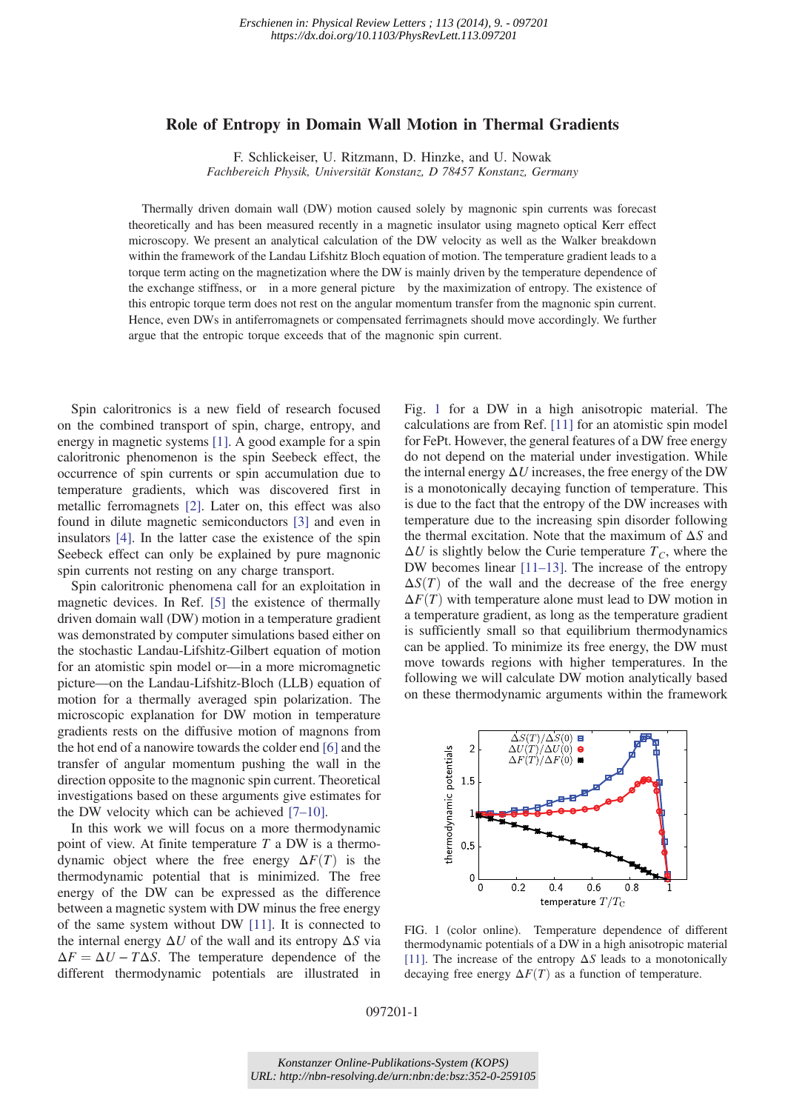## Role of Entropy in Domain Wall Motion in Thermal Gradients

F. Schlickeiser, U. Ritzmann, D. Hinzke, and U. Nowak Fachbereich Physik, Universität Konstanz, D 78457 Konstanz, Germany

Thermally driven domain wall (DW) motion caused solely by magnonic spin currents was forecast theoretically and has been measured recently in a magnetic insulator using magneto optical Kerr effect microscopy. We present an analytical calculation of the DW velocity as well as the Walker breakdown within the framework of the Landau Lifshitz Bloch equation of motion. The temperature gradient leads to a torque term acting on the magnetization where the DW is mainly driven by the temperature dependence of the exchange stiffness, or in a more general picture by the maximization of entropy. The existence of this entropic torque term does not rest on the angular momentum transfer from the magnonic spin current. Hence, even DWs in antiferromagnets or compensated ferrimagnets should move accordingly. We further argue that the entropic torque exceeds that of the magnonic spin current.

Spin caloritronics is a new field of research focused on the combined transport of spin, charge, entropy, and energy in magnetic systems [1]. A good example for a spin caloritronic phenomenon is the spin Seebeck effect, the occurrence of spin currents or spin accumulation due to temperature gradients, which was discovered first in metallic ferromagnets [2]. Later on, this effect was also found in dilute magnetic semiconductors [3] and even in insulators [4]. In the latter case the existence of the spin Seebeck effect can only be explained by pure magnonic spin currents not resting on any charge transport.

Spin caloritronic phenomena call for an exploitation in magnetic devices. In Ref. [5] the existence of thermally driven domain wall (DW) motion in a temperature gradient was demonstrated by computer simulations based either on the stochastic Landau-Lifshitz-Gilbert equation of motion for an atomistic spin model or—in a more micromagnetic picture—on the Landau-Lifshitz-Bloch (LLB) equation of motion for a thermally averaged spin polarization. The microscopic explanation for DW motion in temperature gradients rests on the diffusive motion of magnons from the hot end of a nanowire towards the colder end [6] and the transfer of angular momentum pushing the wall in the direction opposite to the magnonic spin current. Theoretical investigations based on these arguments give estimates for the DW velocity which can be achieved  $[7-10]$ .

In this work we will focus on a more thermodynamic point of view. At finite temperature  $T$  a DW is a thermodynamic object where the free energy  $\Delta F(T)$  is the thermodynamic potential that is minimized. The free energy of the DW can be expressed as the difference between a magnetic system with DW minus the free energy of the same system without DW [11]. It is connected to the internal energy  $\Delta U$  of the wall and its entropy  $\Delta S$  via  $\Delta F = \Delta U - T \Delta S$ . The temperature dependence of the different thermodynamic potentials are illustrated in

Fig. 1 for a DW in a high anisotropic material. The calculations are from Ref. [11] for an atomistic spin model for FePt. However, the general features of a DW free energy do not depend on the material under investigation. While the internal energy  $\Delta U$  increases, the free energy of the DW is a monotonically decaying function of temperature. This is due to the fact that the entropy of the DW increases with temperature due to the increasing spin disorder following the thermal excitation. Note that the maximum of  $\Delta S$  and  $\Delta U$  is slightly below the Curie temperature  $T_c$ , where the DW becomes linear [11–13]. The increase of the entropy  $\Delta S(T)$  of the wall and the decrease of the free energy  $\Delta F(T)$  with temperature alone must lead to DW motion in a temperature gradient, as long as the temperature gradient is sufficiently small so that equilibrium thermodynamics can be applied. To minimize its free energy, the DW must move towards regions with higher temperatures. In the following we will calculate DW motion analytically based on these thermodynamic arguments within the framework



FIG. 1 (color online). Temperature dependence of different thermodynamic potentials of a DW in a high anisotropic material [11]. The increase of the entropy  $\Delta S$  leads to a monotonically decaying free energy  $\Delta F(T)$  as a function of temperature.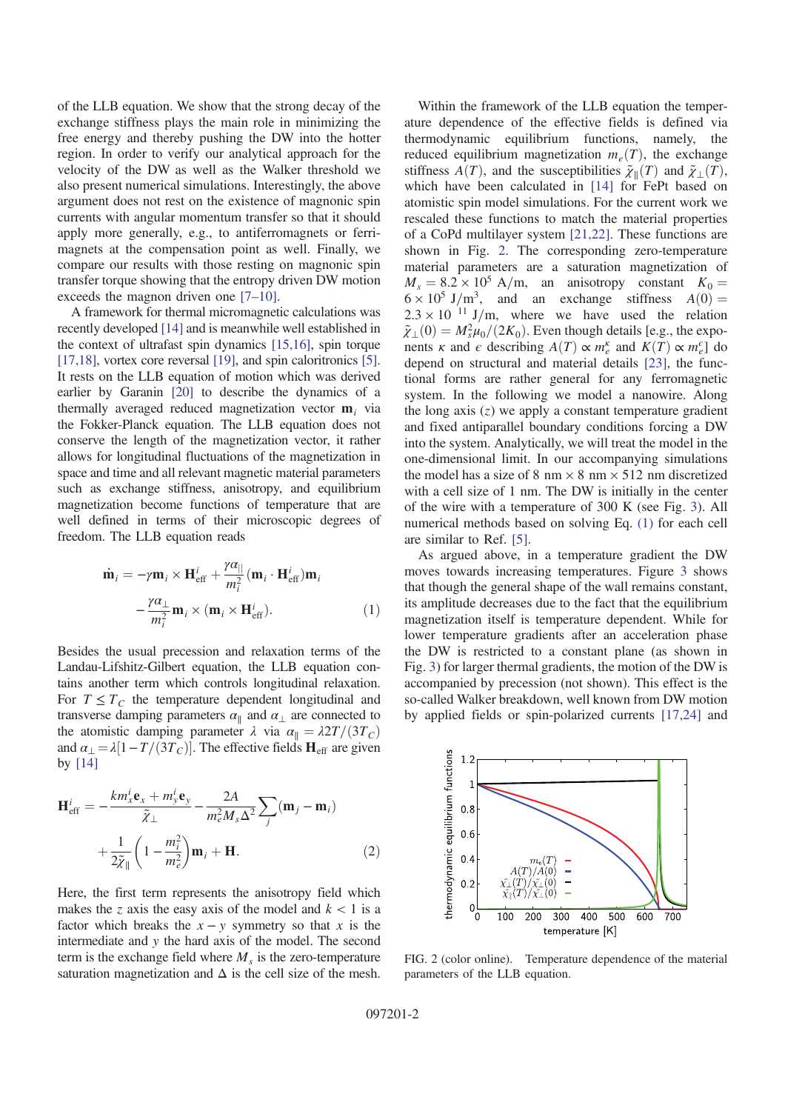of the LLB equation. We show that the strong decay of the exchange stiffness plays the main role in minimizing the free energy and thereby pushing the DW into the hotter region. In order to verify our analytical approach for the velocity of the DW as well as the Walker threshold we also present numerical simulations. Interestingly, the above argument does not rest on the existence of magnonic spin currents with angular momentum transfer so that it should apply more generally, e.g., to antiferromagnets or ferrimagnets at the compensation point as well. Finally, we compare our results with those resting on magnonic spin transfer torque showing that the entropy driven DW motion exceeds the magnon driven one [7–10].

A framework for thermal micromagnetic calculations was recently developed [14] and is meanwhile well established in the context of ultrafast spin dynamics [15,16], spin torque [17,18], vortex core reversal [19], and spin caloritronics [5]. It rests on the LLB equation of motion which was derived earlier by Garanin [20] to describe the dynamics of a thermally averaged reduced magnetization vector  $\mathbf{m}_i$  via the Fokker-Planck equation. The LLB equation does not conserve the length of the magnetization vector, it rather allows for longitudinal fluctuations of the magnetization in space and time and all relevant magnetic material parameters such as exchange stiffness, anisotropy, and equilibrium magnetization become functions of temperature that are well defined in terms of their microscopic degrees of freedom. The LLB equation reads

$$
\dot{\mathbf{m}}_i = -\gamma \mathbf{m}_i \times \mathbf{H}_{\text{eff}}^i + \frac{\gamma \alpha_{||}}{m_i^2} (\mathbf{m}_i \cdot \mathbf{H}_{\text{eff}}^i) \mathbf{m}_i \n- \frac{\gamma \alpha_{\perp}}{m_i^2} \mathbf{m}_i \times (\mathbf{m}_i \times \mathbf{H}_{\text{eff}}^i).
$$
\n(1)

Besides the usual precession and relaxation terms of the Landau-Lifshitz-Gilbert equation, the LLB equation contains another term which controls longitudinal relaxation. For  $T \leq T_c$  the temperature dependent longitudinal and transverse damping parameters  $\alpha_{\parallel}$  and  $\alpha_{\perp}$  are connected to the atomistic damping parameter  $\lambda$  via  $\alpha_{\parallel} = \lambda 2T/(3T_c)$ and  $\alpha_{\perp} = \lambda [1 - T/(\overline{3T_C})]$ . The effective fields  $\mathbf{H}_{\text{eff}}$  are given by [14]

$$
\mathbf{H}_{\text{eff}}^{i} = -\frac{km_{x}^{i}\mathbf{e}_{x} + m_{y}^{i}\mathbf{e}_{y}}{\tilde{\chi}_{\perp}} - \frac{2A}{m_{e}^{2}M_{s}\Delta^{2}}\sum_{j}(\mathbf{m}_{j} - \mathbf{m}_{i}) + \frac{1}{2\tilde{\chi}_{\parallel}}\left(1 - \frac{m_{i}^{2}}{m_{e}^{2}}\right)\mathbf{m}_{i} + \mathbf{H}.
$$
 (2)

Here, the first term represents the anisotropy field which makes the z axis the easy axis of the model and  $k < 1$  is a factor which breaks the  $x - y$  symmetry so that x is the intermediate and y the hard axis of the model. The second term is the exchange field where  $M<sub>s</sub>$  is the zero-temperature saturation magnetization and  $\Delta$  is the cell size of the mesh.

Within the framework of the LLB equation the temperature dependence of the effective fields is defined via thermodynamic equilibrium functions, namely, the reduced equilibrium magnetization  $m_e(T)$ , the exchange stiffness  $A(T)$ , and the susceptibilities  $\tilde{\chi}_{\parallel}(T)$  and  $\tilde{\chi}_{\perp}(T)$ , which have been calculated in [14] for FePt based on atomistic spin model simulations. For the current work we rescaled these functions to match the material properties of a CoPd multilayer system [21,22]. These functions are shown in Fig. 2. The corresponding zero-temperature material parameters are a saturation magnetization of  $M_s = 8.2 \times 10^5$  A/m, an anisotropy constant  $K_0 =$  $6 \times 10^5$  J/m<sup>3</sup>, and an exchange stiffness  $A(0) =$  $2.3 \times 10^{-11}$  J/m, where we have used the relation  $\tilde{\chi}_{\perp}(0) = M_s^2 \mu_0/(2K_0)$ . Even though details [e.g., the exponents *κ* and *ε* describing  $A(T) \propto m_e^{\kappa}$  and  $K(T) \propto m_e^{\epsilon}$  do depend on structural and material details [23], the functional forms are rather general for any ferromagnetic system. In the following we model a nanowire. Along the long axis  $(z)$  we apply a constant temperature gradient and fixed antiparallel boundary conditions forcing a DW into the system. Analytically, we will treat the model in the one-dimensional limit. In our accompanying simulations the model has a size of 8 nm  $\times$  8 nm  $\times$  512 nm discretized with a cell size of 1 nm. The DW is initially in the center of the wire with a temperature of 300 K (see Fig. 3). All numerical methods based on solving Eq. (1) for each cell are similar to Ref. [5].

As argued above, in a temperature gradient the DW moves towards increasing temperatures. Figure 3 shows that though the general shape of the wall remains constant, its amplitude decreases due to the fact that the equilibrium magnetization itself is temperature dependent. While for lower temperature gradients after an acceleration phase the DW is restricted to a constant plane (as shown in Fig. 3) for larger thermal gradients, the motion of the DW is accompanied by precession (not shown). This effect is the so-called Walker breakdown, well known from DW motion by applied fields or spin-polarized currents [17,24] and



FIG. 2 (color online). Temperature dependence of the material parameters of the LLB equation.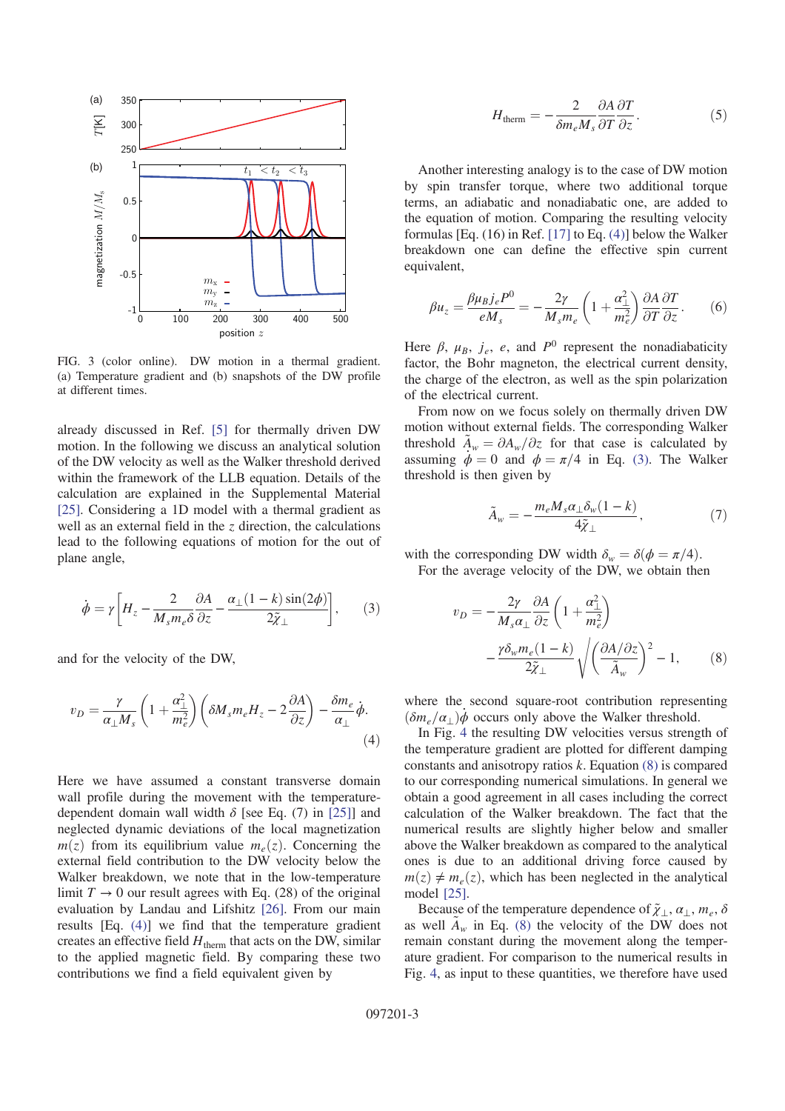

FIG. 3 (color online). DW motion in a thermal gradient. (a) Temperature gradient and (b) snapshots of the DW profile at different times.

already discussed in Ref. [5] for thermally driven DW motion. In the following we discuss an analytical solution of the DW velocity as well as the Walker threshold derived within the framework of the LLB equation. Details of the calculation are explained in the Supplemental Material [25]. Considering a 1D model with a thermal gradient as well as an external field in the z direction, the calculations lead to the following equations of motion for the out of plane angle,

$$
\dot{\phi} = \gamma \left[ H_z - \frac{2}{M_s m_e \delta} \frac{\partial A}{\partial z} - \frac{\alpha_\perp (1 - k) \sin(2\phi)}{2 \tilde{\chi}_\perp} \right],\tag{3}
$$

and for the velocity of the DW,

$$
v_D = \frac{\gamma}{\alpha_\perp M_s} \left( 1 + \frac{\alpha_\perp^2}{m_e^2} \right) \left( \delta M_s m_e H_z - 2 \frac{\partial A}{\partial z} \right) - \frac{\delta m_e}{\alpha_\perp} \dot{\phi}.
$$
\n(4)

Here we have assumed a constant transverse domain wall profile during the movement with the temperaturedependent domain wall width  $\delta$  [see Eq. (7) in [25]] and neglected dynamic deviations of the local magnetization  $m(z)$  from its equilibrium value  $m_e(z)$ . Concerning the external field contribution to the DW velocity below the Walker breakdown, we note that in the low-temperature limit  $T \rightarrow 0$  our result agrees with Eq. (28) of the original evaluation by Landau and Lifshitz [26]. From our main results [Eq. (4)] we find that the temperature gradient creates an effective field  $H_{\text{therm}}$  that acts on the DW, similar to the applied magnetic field. By comparing these two contributions we find a field equivalent given by

$$
H_{\text{therm}} = -\frac{2}{\delta m_e M_s} \frac{\partial A}{\partial T} \frac{\partial T}{\partial z}.
$$
 (5)

Another interesting analogy is to the case of DW motion by spin transfer torque, where two additional torque terms, an adiabatic and nonadiabatic one, are added to the equation of motion. Comparing the resulting velocity formulas [Eq. (16) in Ref. [17] to Eq. (4)] below the Walker breakdown one can define the effective spin current equivalent,

$$
\beta u_z = \frac{\beta \mu_B j_e P^0}{e M_s} = -\frac{2\gamma}{M_s m_e} \left( 1 + \frac{\alpha_\perp^2}{m_e^2} \right) \frac{\partial A}{\partial T} \frac{\partial T}{\partial z}.
$$
 (6)

Here  $\beta$ ,  $\mu_B$ ,  $j_e$ , e, and  $P^0$  represent the nonadiabaticity factor, the Bohr magneton, the electrical current density, the charge of the electron, as well as the spin polarization of the electrical current.

From now on we focus solely on thermally driven DW motion without external fields. The corresponding Walker threshold  $A_w = \partial A_w / \partial z$  for that case is calculated by assuming  $\dot{\phi} = 0$  and  $\phi = \pi/4$  in Eq. (3). The Walker threshold is then given by

$$
\tilde{A}_w = -\frac{m_e M_s \alpha_\perp \delta_w (1 - k)}{4 \tilde{\chi}_\perp},\tag{7}
$$

with the corresponding DW width  $\delta_w = \delta(\phi = \pi/4)$ .

For the average velocity of the DW, we obtain then

$$
v_D = -\frac{2\gamma}{M_s \alpha_{\perp}} \frac{\partial A}{\partial z} \left( 1 + \frac{\alpha_{\perp}^2}{m_e^2} \right)
$$

$$
-\frac{\gamma \delta_w m_e (1 - k)}{2\tilde{\chi}_{\perp}} \sqrt{\left( \frac{\partial A/\partial z}{\tilde{A}_w} \right)^2 - 1}, \qquad (8)
$$

where the second square-root contribution representing  $(\delta m_e/\alpha_\perp)\dot{\phi}$  occurs only above the Walker threshold.

In Fig. 4 the resulting DW velocities versus strength of the temperature gradient are plotted for different damping constants and anisotropy ratios  $k$ . Equation  $(8)$  is compared to our corresponding numerical simulations. In general we obtain a good agreement in all cases including the correct calculation of the Walker breakdown. The fact that the numerical results are slightly higher below and smaller above the Walker breakdown as compared to the analytical ones is due to an additional driving force caused by  $m(z) \neq m_e(z)$ , which has been neglected in the analytical model [25].

Because of the temperature dependence of  $\tilde{\chi}_\perp, \alpha_\perp, m_e, \delta$ as well  $A_w$  in Eq. (8) the velocity of the DW does not remain constant during the movement along the temperature gradient. For comparison to the numerical results in Fig. 4, as input to these quantities, we therefore have used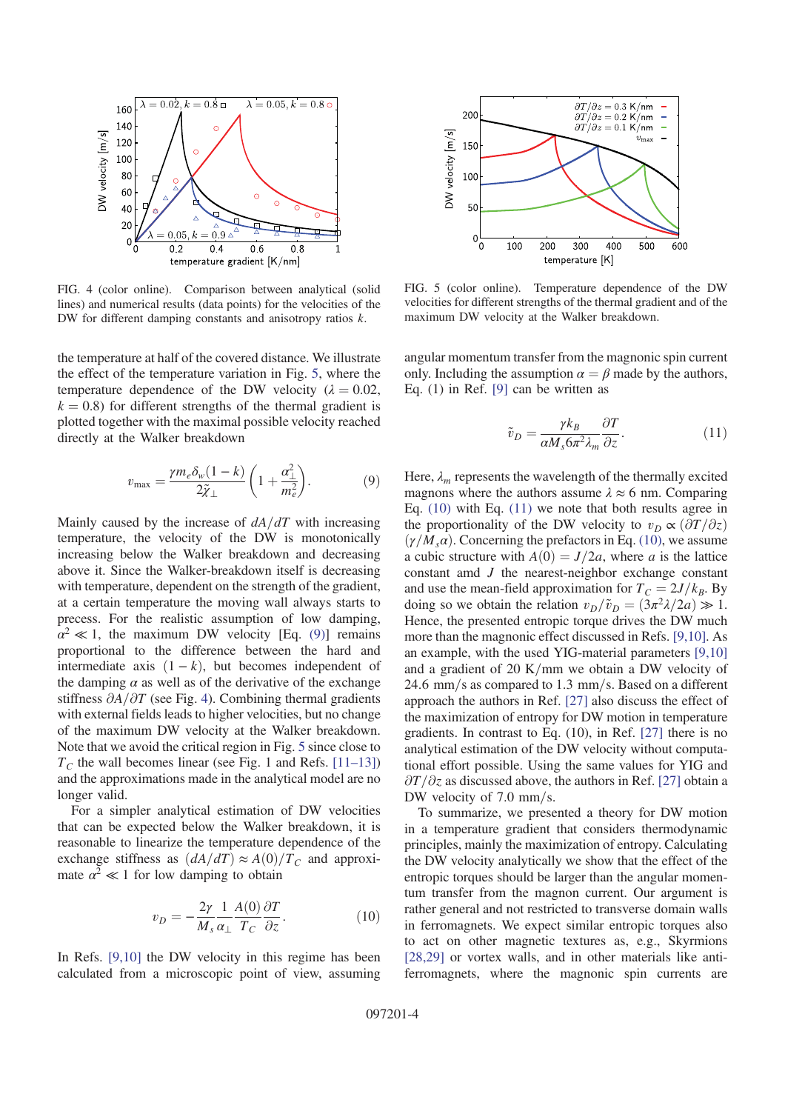

FIG. 4 (color online). Comparison between analytical (solid lines) and numerical results (data points) for the velocities of the DW for different damping constants and anisotropy ratios k.

the temperature at half of the covered distance. We illustrate the effect of the temperature variation in Fig. 5, where the temperature dependence of the DW velocity ( $\lambda = 0.02$ ,  $k = 0.8$ ) for different strengths of the thermal gradient is plotted together with the maximal possible velocity reached directly at the Walker breakdown

$$
v_{\text{max}} = \frac{\gamma m_e \delta_w (1 - k)}{2 \tilde{\chi}_{\perp}} \left( 1 + \frac{\alpha_{\perp}^2}{m_e^2} \right). \tag{9}
$$

Mainly caused by the increase of  $dA/dT$  with increasing temperature, the velocity of the DW is monotonically increasing below the Walker breakdown and decreasing above it. Since the Walker-breakdown itself is decreasing with temperature, dependent on the strength of the gradient, at a certain temperature the moving wall always starts to precess. For the realistic assumption of low damping,  $\alpha^2 \ll 1$ , the maximum DW velocity [Eq. (9)] remains proportional to the difference between the hard and intermediate axis  $(1 - k)$ , but becomes independent of the damping  $\alpha$  as well as of the derivative of the exchange stiffness  $\partial A/\partial T$  (see Fig. 4). Combining thermal gradients with external fields leads to higher velocities, but no change of the maximum DW velocity at the Walker breakdown. Note that we avoid the critical region in Fig. 5 since close to  $T_c$  the wall becomes linear (see Fig. 1 and Refs. [11–13]) and the approximations made in the analytical model are no longer valid.

For a simpler analytical estimation of DW velocities that can be expected below the Walker breakdown, it is reasonable to linearize the temperature dependence of the exchange stiffness as  $\left(\frac{dA}{dT}\right) \approx A(0)/T_C$  and approximate  $\alpha^2 \ll 1$  for low damping to obtain

$$
v_D = -\frac{2\gamma}{M_s} \frac{1}{\alpha_\perp} \frac{A(0)}{T_C} \frac{\partial T}{\partial z}.
$$
 (10)

In Refs. [9,10] the DW velocity in this regime has been calculated from a microscopic point of view, assuming



FIG. 5 (color online). Temperature dependence of the DW velocities for different strengths of the thermal gradient and of the maximum DW velocity at the Walker breakdown.

angular momentum transfer from the magnonic spin current only. Including the assumption  $\alpha = \beta$  made by the authors, Eq. (1) in Ref. [9] can be written as

$$
\tilde{v}_D = \frac{\gamma k_B}{\alpha M_s 6\pi^2 \lambda_m} \frac{\partial T}{\partial z}.
$$
\n(11)

Here,  $\lambda_m$  represents the wavelength of the thermally excited magnons where the authors assume  $\lambda \approx 6$  nm. Comparing Eq. (10) with Eq. (11) we note that both results agree in the proportionality of the DW velocity to  $v_D \propto (\partial T/\partial z)$  $(\gamma/M_s \alpha)$ . Concerning the prefactors in Eq. (10), we assume a cubic structure with  $A(0) = J/2a$ , where a is the lattice constant amd J the nearest-neighbor exchange constant and use the mean-field approximation for  $T_c = 2J/k_B$ . By doing so we obtain the relation  $v_D/\tilde{v}_D=(3\pi^2\lambda/2a)\gg 1$ . Hence, the presented entropic torque drives the DW much more than the magnonic effect discussed in Refs. [9,10]. As an example, with the used YIG-material parameters [9,10] and a gradient of 20 K/mm we obtain a DW velocity of 24.6 mm/s as compared to  $1.3$  mm/s. Based on a different approach the authors in Ref. [27] also discuss the effect of the maximization of entropy for DW motion in temperature gradients. In contrast to Eq. (10), in Ref. [27] there is no analytical estimation of the DW velocity without computational effort possible. Using the same values for YIG and  $\partial T/\partial z$  as discussed above, the authors in Ref. [27] obtain a DW velocity of  $7.0 \text{ mm/s}$ .

To summarize, we presented a theory for DW motion in a temperature gradient that considers thermodynamic principles, mainly the maximization of entropy. Calculating the DW velocity analytically we show that the effect of the entropic torques should be larger than the angular momentum transfer from the magnon current. Our argument is rather general and not restricted to transverse domain walls in ferromagnets. We expect similar entropic torques also to act on other magnetic textures as, e.g., Skyrmions [28,29] or vortex walls, and in other materials like antiferromagnets, where the magnonic spin currents are